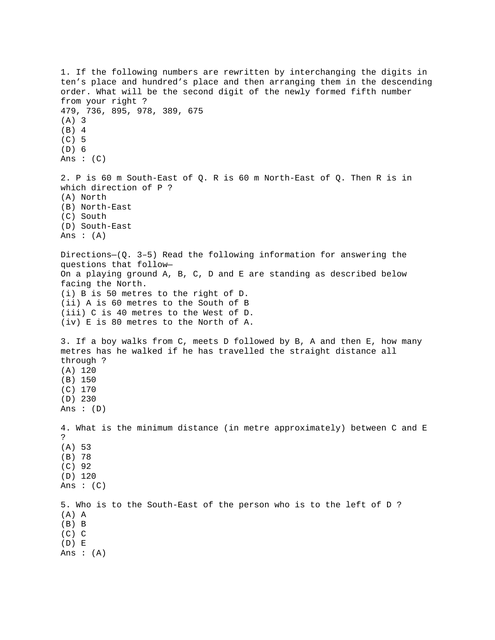```
1. If the following numbers are rewritten by interchanging the digits in 
ten's place and hundred's place and then arranging them in the descending 
order. What will be the second digit of the newly formed fifth number 
from your right ? 
479, 736, 895, 978, 389, 675 
(A) 3 
(B) 4 
(C) 5 
(D) 6 
Ans : (C)2. P is 60 m South-East of Q. R is 60 m North-East of Q. Then R is in 
which direction of P ? 
(A) North 
(B) North-East 
(C) South 
(D) South-East 
Ans : (A)Directions—(Q. 3–5) Read the following information for answering the 
questions that follow— 
On a playing ground A, B, C, D and E are standing as described below 
facing the North. 
(i) B is 50 metres to the right of D. 
(ii) A is 60 metres to the South of B 
(iii) C is 40 metres to the West of D. 
(iv) E is 80 metres to the North of A. 
3. If a boy walks from C, meets D followed by B, A and then E, how many 
metres has he walked if he has travelled the straight distance all 
through ? 
(A) 120 
(B) 150 
(C) 170 
(D) 230 
Ans : (D) 
4. What is the minimum distance (in metre approximately) between C and E 
? 
(A) 53 
(B) 78 
(C) 92 
(D) 120 
Ans : (C)5. Who is to the South-East of the person who is to the left of D ? 
(A) A 
(B) B 
(C) C 
(D) E 
Ans : (A)
```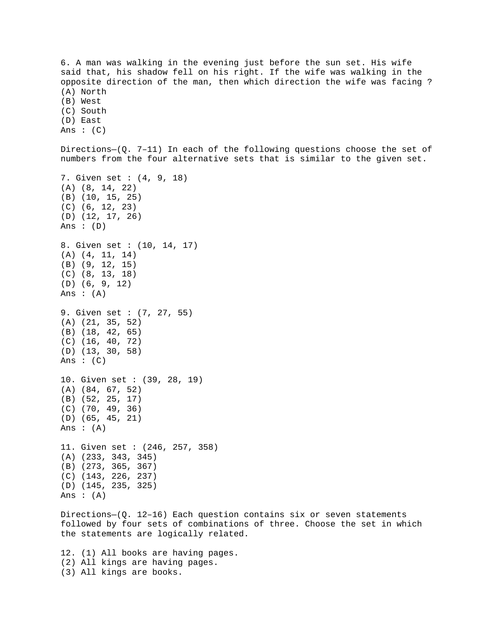6. A man was walking in the evening just before the sun set. His wife said that, his shadow fell on his right. If the wife was walking in the opposite direction of the man, then which direction the wife was facing ? (A) North (B) West (C) South (D) East Ans  $:(C)$ Directions—(Q. 7–11) In each of the following questions choose the set of numbers from the four alternative sets that is similar to the given set. 7. Given set : (4, 9, 18) (A) (8, 14, 22) (B) (10, 15, 25) (C) (6, 12, 23) (D) (12, 17, 26) Ans : (D) 8. Given set : (10, 14, 17) (A) (4, 11, 14) (B) (9, 12, 15) (C) (8, 13, 18) (D) (6, 9, 12) Ans :  $(A)$ 9. Given set : (7, 27, 55) (A) (21, 35, 52) (B) (18, 42, 65) (C) (16, 40, 72) (D) (13, 30, 58) Ans :  $(C)$ 10. Given set : (39, 28, 19) (A) (84, 67, 52) (B) (52, 25, 17) (C) (70, 49, 36) (D) (65, 45, 21) Ans  $:(A)$ 11. Given set : (246, 257, 358) (A) (233, 343, 345) (B) (273, 365, 367) (C) (143, 226, 237) (D) (145, 235, 325) Ans :  $(A)$ 

Directions- $(Q. 12-16)$  Each question contains six or seven statements followed by four sets of combinations of three. Choose the set in which the statements are logically related.

12. (1) All books are having pages. (2) All kings are having pages. (3) All kings are books.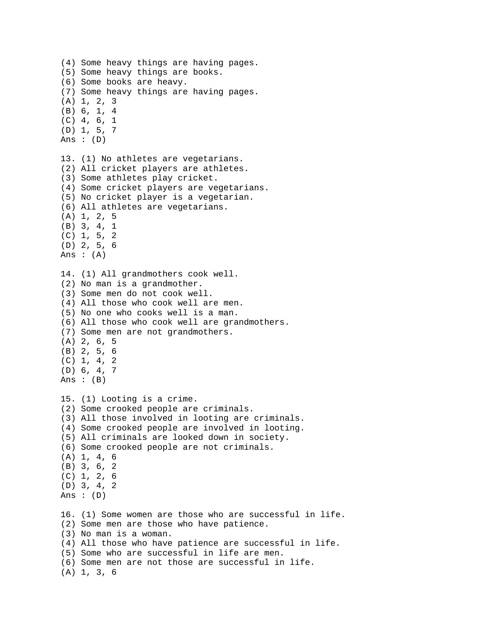```
(4) Some heavy things are having pages. 
(5) Some heavy things are books. 
(6) Some books are heavy. 
(7) Some heavy things are having pages. 
(A) 1, 2, 3 
(B) 6, 1, 4 
(C) 4, 6, 1 
(D) 1, 5, 7 
Ans : (D)13. (1) No athletes are vegetarians. 
(2) All cricket players are athletes. 
(3) Some athletes play cricket. 
(4) Some cricket players are vegetarians. 
(5) No cricket player is a vegetarian. 
(6) All athletes are vegetarians. 
(A) 1, 2, 5 
(B) 3, 4, 1 
(C) 1, 5, 2 
(D) 2, 5, 6 
Ans :(A)14. (1) All grandmothers cook well. 
(2) No man is a grandmother. 
(3) Some men do not cook well. 
(4) All those who cook well are men. 
(5) No one who cooks well is a man. 
(6) All those who cook well are grandmothers. 
(7) Some men are not grandmothers. 
(A) 2, 6, 5 
(B) 2, 5, 6 
(C) 1, 4, 2
(D) 6, 4, 7 
Ans : (B)15. (1) Looting is a crime. 
(2) Some crooked people are criminals. 
(3) All those involved in looting are criminals. 
(4) Some crooked people are involved in looting. 
(5) All criminals are looked down in society. 
(6) Some crooked people are not criminals. 
(A) 1, 4, 6 
(B) 3, 6, 2 
(C) 1, 2, 6 
(D) 3, 4, 2 
Ans : (D) 
16. (1) Some women are those who are successful in life. 
(2) Some men are those who have patience. 
(3) No man is a woman. 
(4) All those who have patience are successful in life. 
(5) Some who are successful in life are men. 
(6) Some men are not those are successful in life. 
(A) 1, 3, 6
```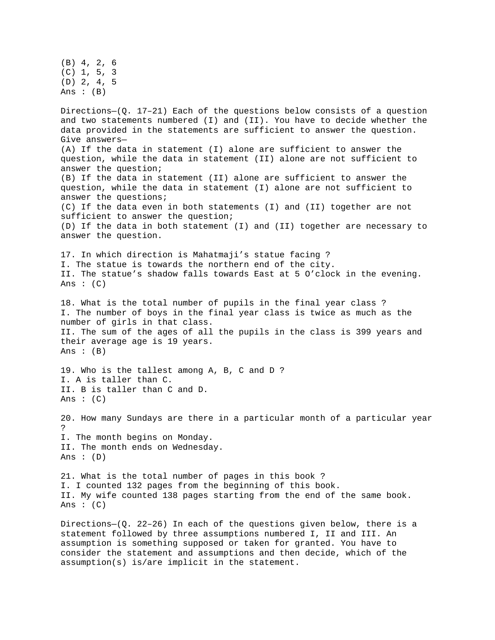(B) 4, 2, 6 (C) 1, 5, 3 (D) 2, 4, 5 Ans :  $(B)$ Directions– $(Q. 17-21)$  Each of the questions below consists of a question and two statements numbered (I) and (II). You have to decide whether the data provided in the statements are sufficient to answer the question. Give answers— (A) If the data in statement (I) alone are sufficient to answer the question, while the data in statement (II) alone are not sufficient to answer the question; (B) If the data in statement (II) alone are sufficient to answer the question, while the data in statement (I) alone are not sufficient to answer the questions; (C) If the data even in both statements (I) and (II) together are not sufficient to answer the question; (D) If the data in both statement (I) and (II) together are necessary to answer the question. 17. In which direction is Mahatmaji's statue facing ? I. The statue is towards the northern end of the city. II. The statue's shadow falls towards East at 5 O'clock in the evening. Ans :  $(C)$ 18. What is the total number of pupils in the final year class ? I. The number of boys in the final year class is twice as much as the number of girls in that class. II. The sum of the ages of all the pupils in the class is 399 years and their average age is 19 years. Ans :  $(B)$ 19. Who is the tallest among A, B, C and D ? I. A is taller than C. II. B is taller than C and D. Ans :  $(C)$ 20. How many Sundays are there in a particular month of a particular year ? I. The month begins on Monday. II. The month ends on Wednesday. Ans :  $(D)$ 21. What is the total number of pages in this book ? I. I counted 132 pages from the beginning of this book. II. My wife counted 138 pages starting from the end of the same book. Ans  $: (C)$ Directions- $(Q. 22-26)$  In each of the questions given below, there is a

statement followed by three assumptions numbered I, II and III. An assumption is something supposed or taken for granted. You have to consider the statement and assumptions and then decide, which of the assumption(s) is/are implicit in the statement.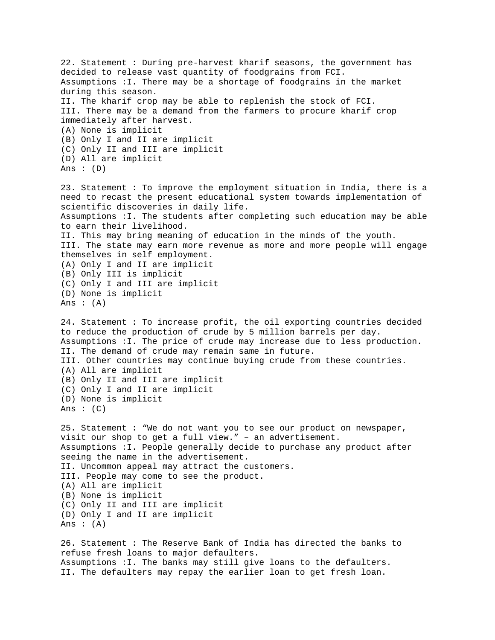22. Statement : During pre-harvest kharif seasons, the government has decided to release vast quantity of foodgrains from FCI. Assumptions :I. There may be a shortage of foodgrains in the market during this season. II. The kharif crop may be able to replenish the stock of FCI. III. There may be a demand from the farmers to procure kharif crop immediately after harvest. (A) None is implicit (B) Only I and II are implicit (C) Only II and III are implicit (D) All are implicit Ans :  $(D)$ 23. Statement : To improve the employment situation in India, there is a need to recast the present educational system towards implementation of scientific discoveries in daily life. Assumptions :I. The students after completing such education may be able to earn their livelihood. II. This may bring meaning of education in the minds of the youth. III. The state may earn more revenue as more and more people will engage themselves in self employment. (A) Only I and II are implicit (B) Only III is implicit (C) Only I and III are implicit (D) None is implicit Ans :  $(A)$ 24. Statement : To increase profit, the oil exporting countries decided to reduce the production of crude by 5 million barrels per day. Assumptions :I. The price of crude may increase due to less production. II. The demand of crude may remain same in future. III. Other countries may continue buying crude from these countries. (A) All are implicit (B) Only II and III are implicit (C) Only I and II are implicit (D) None is implicit Ans :  $(C)$ 25. Statement : "We do not want you to see our product on newspaper, visit our shop to get a full view." – an advertisement. Assumptions :I. People generally decide to purchase any product after seeing the name in the advertisement. II. Uncommon appeal may attract the customers. III. People may come to see the product. (A) All are implicit (B) None is implicit (C) Only II and III are implicit (D) Only I and II are implicit Ans :  $(A)$ 26. Statement : The Reserve Bank of India has directed the banks to refuse fresh loans to major defaulters. Assumptions :I. The banks may still give loans to the defaulters. II. The defaulters may repay the earlier loan to get fresh loan.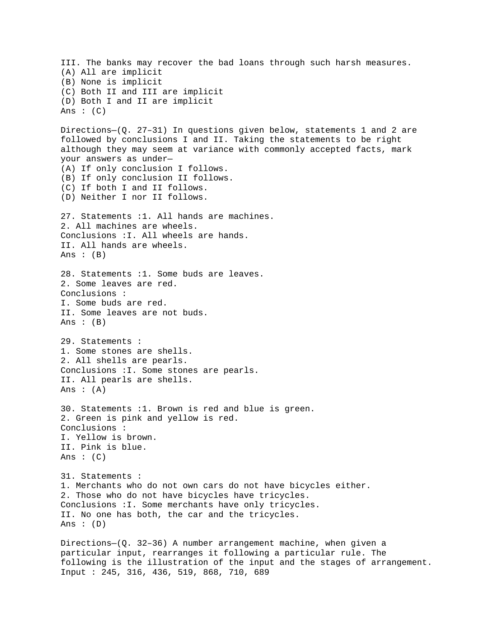III. The banks may recover the bad loans through such harsh measures. (A) All are implicit (B) None is implicit (C) Both II and III are implicit (D) Both I and II are implicit Ans  $: (C)$ Directions—(Q. 27–31) In questions given below, statements 1 and 2 are followed by conclusions I and II. Taking the statements to be right although they may seem at variance with commonly accepted facts, mark your answers as under— (A) If only conclusion I follows. (B) If only conclusion II follows. (C) If both I and II follows. (D) Neither I nor II follows. 27. Statements :1. All hands are machines. 2. All machines are wheels. Conclusions :I. All wheels are hands. II. All hands are wheels. Ans :  $(B)$ 28. Statements :1. Some buds are leaves. 2. Some leaves are red. Conclusions : I. Some buds are red. II. Some leaves are not buds. Ans  $: (B)$ 29. Statements : 1. Some stones are shells. 2. All shells are pearls. Conclusions :I. Some stones are pearls. II. All pearls are shells. Ans :  $(A)$ 30. Statements :1. Brown is red and blue is green. 2. Green is pink and yellow is red. Conclusions : I. Yellow is brown. II. Pink is blue. Ans : (C) 31. Statements : 1. Merchants who do not own cars do not have bicycles either. 2. Those who do not have bicycles have tricycles. Conclusions :I. Some merchants have only tricycles. II. No one has both, the car and the tricycles. Ans :  $(D)$ Directions—(Q. 32–36) A number arrangement machine, when given a particular input, rearranges it following a particular rule. The following is the illustration of the input and the stages of arrangement. Input : 245, 316, 436, 519, 868, 710, 689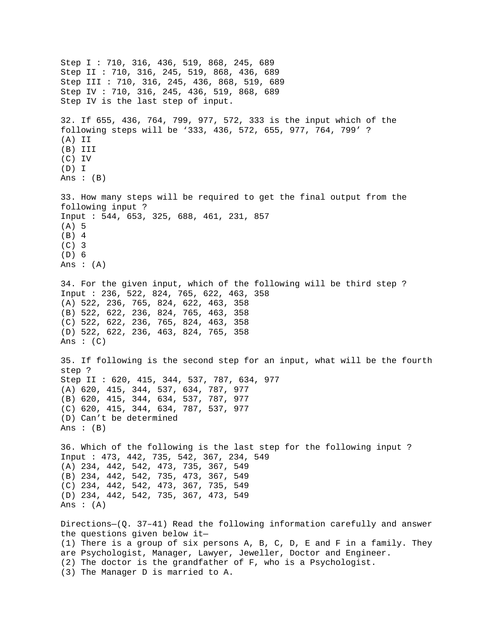Step I : 710, 316, 436, 519, 868, 245, 689 Step II : 710, 316, 245, 519, 868, 436, 689 Step III : 710, 316, 245, 436, 868, 519, 689 Step IV : 710, 316, 245, 436, 519, 868, 689 Step IV is the last step of input. 32. If 655, 436, 764, 799, 977, 572, 333 is the input which of the following steps will be '333, 436, 572, 655, 977, 764, 799' ? (A) II (B) III (C) IV (D) I Ans : (B) 33. How many steps will be required to get the final output from the following input ? Input : 544, 653, 325, 688, 461, 231, 857 (A) 5 (B) 4 (C) 3 (D) 6 Ans  $: (A)$ 34. For the given input, which of the following will be third step ? Input : 236, 522, 824, 765, 622, 463, 358 (A) 522, 236, 765, 824, 622, 463, 358 (B) 522, 622, 236, 824, 765, 463, 358 (C) 522, 622, 236, 765, 824, 463, 358 (D) 522, 622, 236, 463, 824, 765, 358 Ans :  $(C)$ 35. If following is the second step for an input, what will be the fourth step ? Step II : 620, 415, 344, 537, 787, 634, 977 (A) 620, 415, 344, 537, 634, 787, 977 (B) 620, 415, 344, 634, 537, 787, 977 (C) 620, 415, 344, 634, 787, 537, 977 (D) Can't be determined Ans :  $(B)$ 36. Which of the following is the last step for the following input ? Input : 473, 442, 735, 542, 367, 234, 549 (A) 234, 442, 542, 473, 735, 367, 549 (B) 234, 442, 542, 735, 473, 367, 549 (C) 234, 442, 542, 473, 367, 735, 549 (D) 234, 442, 542, 735, 367, 473, 549 Ans  $:(A)$ Directions—(Q. 37–41) Read the following information carefully and answer the questions given below it— (1) There is a group of six persons A, B, C, D, E and F in a family. They are Psychologist, Manager, Lawyer, Jeweller, Doctor and Engineer. (2) The doctor is the grandfather of F, who is a Psychologist. (3) The Manager D is married to A.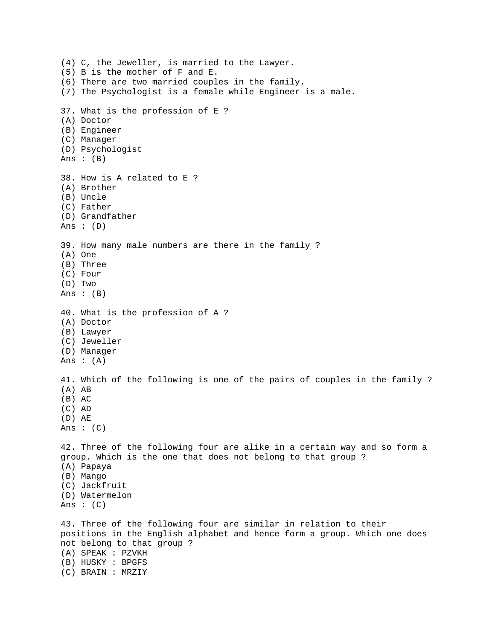```
(4) C, the Jeweller, is married to the Lawyer. 
(5) B is the mother of F and E. 
(6) There are two married couples in the family. 
(7) The Psychologist is a female while Engineer is a male. 
37. What is the profession of E ? 
(A) Doctor 
(B) Engineer 
(C) Manager 
(D) Psychologist 
Ans : (B)38. How is A related to E ? 
(A) Brother 
(B) Uncle 
(C) Father 
(D) Grandfather 
Ans : (D) 
39. How many male numbers are there in the family ? 
(A) One 
(B) Three 
(C) Four 
(D) Two 
Ans : (B) 
40. What is the profession of A ? 
(A) Doctor 
(B) Lawyer 
(C) Jeweller 
(D) Manager 
Ans :(A)41. Which of the following is one of the pairs of couples in the family ? 
(A) AB 
(B) AC 
(C) AD 
(D) AE 
Ans : (C)42. Three of the following four are alike in a certain way and so form a 
group. Which is the one that does not belong to that group ? 
(A) Papaya 
(B) Mango 
(C) Jackfruit 
(D) Watermelon 
Ans : (C)43. Three of the following four are similar in relation to their 
positions in the English alphabet and hence form a group. Which one does 
not belong to that group ? 
(A) SPEAK : PZVKH 
(B) HUSKY : BPGFS 
(C) BRAIN : MRZIY
```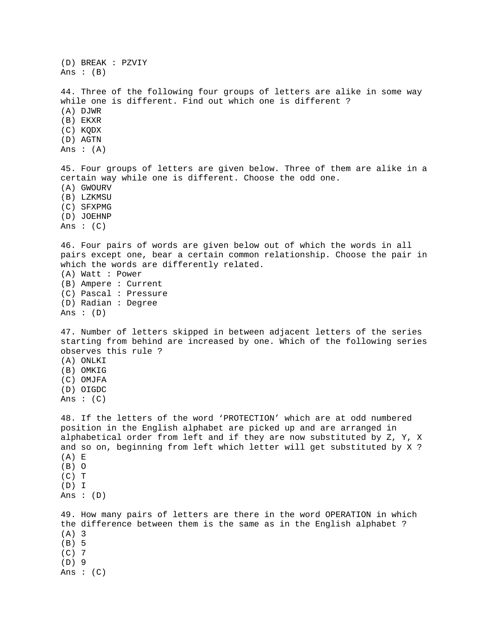(D) BREAK : PZVIY Ans  $: (B)$ 44. Three of the following four groups of letters are alike in some way while one is different. Find out which one is different ? (A) DJWR (B) EKXR (C) KQDX (D) AGTN Ans  $:(A)$ 45. Four groups of letters are given below. Three of them are alike in a certain way while one is different. Choose the odd one. (A) GWOURV (B) LZKMSU (C) SFXPMG (D) JOEHNP Ans :  $(C)$ 46. Four pairs of words are given below out of which the words in all pairs except one, bear a certain common relationship. Choose the pair in which the words are differently related. (A) Watt : Power (B) Ampere : Current (C) Pascal : Pressure (D) Radian : Degree Ans :  $(D)$ 47. Number of letters skipped in between adjacent letters of the series starting from behind are increased by one. Which of the following series observes this rule ? (A) ONLKI (B) OMKIG (C) OMJFA (D) OIGDC Ans  $: (C)$ 48. If the letters of the word 'PROTECTION' which are at odd numbered position in the English alphabet are picked up and are arranged in alphabetical order from left and if they are now substituted by Z, Y, X and so on, beginning from left which letter will get substituted by X ? (A) E (B) O  $(C)$  T (D) I Ans : (D) 49. How many pairs of letters are there in the word OPERATION in which the difference between them is the same as in the English alphabet ? (A) 3 (B) 5 (C) 7 (D) 9 Ans : (C)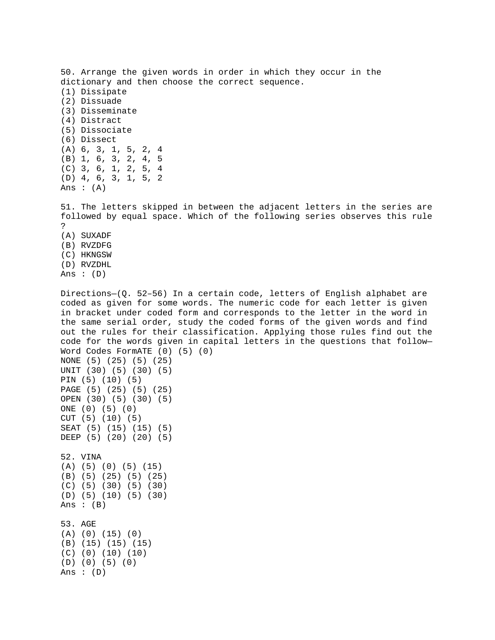50. Arrange the given words in order in which they occur in the dictionary and then choose the correct sequence. (1) Dissipate (2) Dissuade (3) Disseminate (4) Distract (5) Dissociate (6) Dissect (A) 6, 3, 1, 5, 2, 4 (B) 1, 6, 3, 2, 4, 5 (C) 3, 6, 1, 2, 5, 4 (D) 4, 6, 3, 1, 5, 2 Ans  $:(A)$ 51. The letters skipped in between the adjacent letters in the series are followed by equal space. Which of the following series observes this rule ? (A) SUXADF (B) RVZDFG

- (C) HKNGSW (D) RVZDHL
- Ans :  $(D)$

Ans :  $(D)$ 

Directions—(Q. 52–56) In a certain code, letters of English alphabet are coded as given for some words. The numeric code for each letter is given in bracket under coded form and corresponds to the letter in the word in the same serial order, study the coded forms of the given words and find out the rules for their classification. Applying those rules find out the code for the words given in capital letters in the questions that follow— Word Codes FormATE (0) (5) (0) NONE (5) (25) (5) (25) UNIT (30) (5) (30) (5) PIN (5) (10) (5) PAGE (5) (25) (5) (25) OPEN (30) (5) (30) (5) ONE (0) (5) (0) CUT (5) (10) (5) SEAT (5) (15) (15) (5) DEEP (5) (20) (20) (5) 52. VINA (A) (5) (0) (5) (15) (B) (5) (25) (5) (25) (C) (5) (30) (5) (30) (D) (5) (10) (5) (30) Ans  $:(B)$ 53. AGE (A) (0) (15) (0) (B) (15) (15) (15) (C) (0) (10) (10) (D) (0) (5) (0)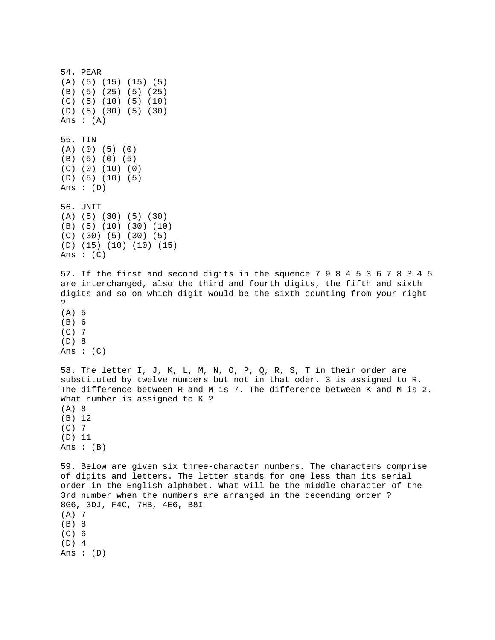54. PEAR (A) (5) (15) (15) (5) (B) (5) (25) (5) (25) (C) (5) (10) (5) (10) (D) (5) (30) (5) (30) Ans :  $(A)$ 55. TIN (A) (0) (5) (0) (B) (5) (0) (5) (C) (0) (10) (0) (D) (5) (10) (5) Ans : (D) 56. UNIT (A) (5) (30) (5) (30) (B) (5) (10) (30) (10) (C) (30) (5) (30) (5) (D) (15) (10) (10) (15) Ans :  $(C)$ 57. If the first and second digits in the squence 7 9 8 4 5 3 6 7 8 3 4 5 are interchanged, also the third and fourth digits, the fifth and sixth digits and so on which digit would be the sixth counting from your right ? (A) 5 (B) 6 (C) 7 (D) 8 Ans :  $(C)$ 58. The letter I, J, K, L, M, N, O, P, Q, R, S, T in their order are substituted by twelve numbers but not in that oder. 3 is assigned to R. The difference between R and M is 7. The difference between K and M is 2. What number is assigned to K ? (A) 8 (B) 12 (C) 7 (D) 11 Ans : (B) 59. Below are given six three-character numbers. The characters comprise of digits and letters. The letter stands for one less than its serial order in the English alphabet. What will be the middle character of the 3rd number when the numbers are arranged in the decending order ? 8G6, 3DJ, F4C, 7HB, 4E6, B8I (A) 7 (B) 8 (C) 6 (D) 4 Ans : (D)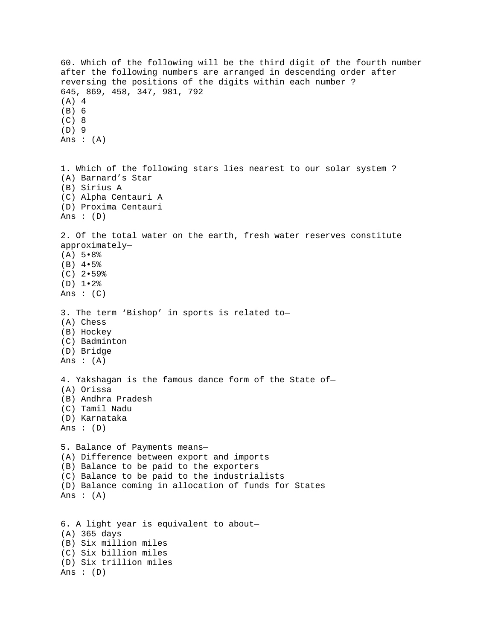60. Which of the following will be the third digit of the fourth number after the following numbers are arranged in descending order after reversing the positions of the digits within each number ? 645, 869, 458, 347, 981, 792 (A) 4 (B) 6 (C) 8 (D) 9 Ans : (A) 1. Which of the following stars lies nearest to our solar system ? (A) Barnard's Star (B) Sirius A (C) Alpha Centauri A (D) Proxima Centauri Ans :  $(D)$ 2. Of the total water on the earth, fresh water reserves constitute approximately— (A) 5•8% (B) 4•5% (C) 2•59% (D) 1•2% Ans : (C) 3. The term 'Bishop' in sports is related to— (A) Chess (B) Hockey (C) Badminton (D) Bridge Ans  $:(A)$ 4. Yakshagan is the famous dance form of the State of— (A) Orissa (B) Andhra Pradesh (C) Tamil Nadu (D) Karnataka Ans :  $(D)$ 5. Balance of Payments means— (A) Difference between export and imports (B) Balance to be paid to the exporters (C) Balance to be paid to the industrialists (D) Balance coming in allocation of funds for States Ans :  $(A)$ 6. A light year is equivalent to about— (A) 365 days (B) Six million miles (C) Six billion miles (D) Six trillion miles Ans : (D)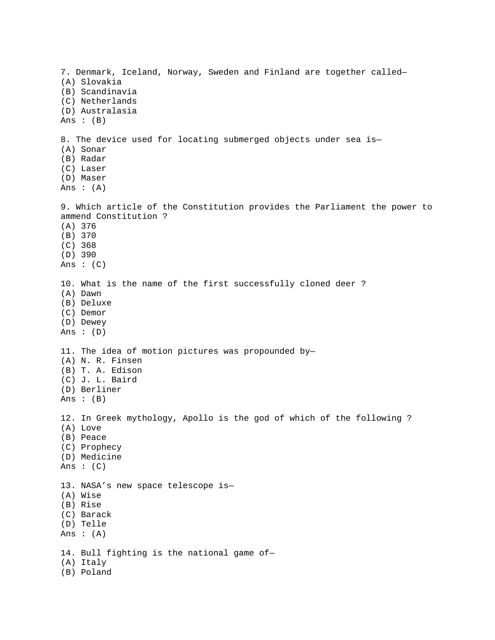7. Denmark, Iceland, Norway, Sweden and Finland are together called— (A) Slovakia (B) Scandinavia (C) Netherlands (D) Australasia Ans : (B) 8. The device used for locating submerged objects under sea is— (A) Sonar (B) Radar (C) Laser (D) Maser Ans  $:(A)$ 9. Which article of the Constitution provides the Parliament the power to ammend Constitution ? (A) 376 (B) 370 (C) 368 (D) 390 Ans  $: (C)$ 10. What is the name of the first successfully cloned deer ? (A) Dawn (B) Deluxe (C) Demor (D) Dewey Ans :  $(D)$ 11. The idea of motion pictures was propounded by— (A) N. R. Finsen (B) T. A. Edison (C) J. L. Baird (D) Berliner Ans :  $(B)$ 12. In Greek mythology, Apollo is the god of which of the following ? (A) Love (B) Peace (C) Prophecy (D) Medicine Ans :  $(C)$ 13. NASA's new space telescope is— (A) Wise (B) Rise (C) Barack (D) Telle Ans : (A) 14. Bull fighting is the national game of— (A) Italy (B) Poland